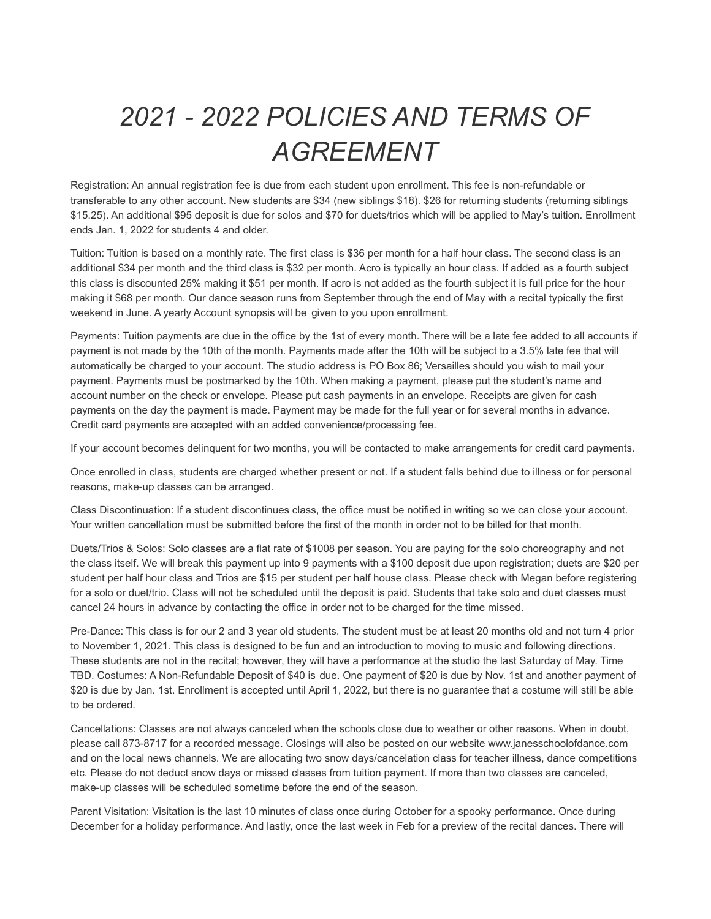## *2021 - 2022 POLICIES AND TERMS OF AGREEMENT*

Registration: An annual registration fee is due from each student upon enrollment. This fee is non-refundable or transferable to any other account. New students are \$34 (new siblings \$18). \$26 for returning students (returning siblings \$15.25). An additional \$95 deposit is due for solos and \$70 for duets/trios which will be applied to May's tuition. Enrollment ends Jan. 1, 2022 for students 4 and older.

Tuition: Tuition is based on a monthly rate. The first class is \$36 per month for a half hour class. The second class is an additional \$34 per month and the third class is \$32 per month. Acro is typically an hour class. If added as a fourth subject this class is discounted 25% making it \$51 per month. If acro is not added as the fourth subject it is full price for the hour making it \$68 per month. Our dance season runs from September through the end of May with a recital typically the first weekend in June. A yearly Account synopsis will be given to you upon enrollment.

Payments: Tuition payments are due in the office by the 1st of every month. There will be a late fee added to all accounts if payment is not made by the 10th of the month. Payments made after the 10th will be subject to a 3.5% late fee that will automatically be charged to your account. The studio address is PO Box 86; Versailles should you wish to mail your payment. Payments must be postmarked by the 10th. When making a payment, please put the student's name and account number on the check or envelope. Please put cash payments in an envelope. Receipts are given for cash payments on the day the payment is made. Payment may be made for the full year or for several months in advance. Credit card payments are accepted with an added convenience/processing fee.

If your account becomes delinquent for two months, you will be contacted to make arrangements for credit card payments.

Once enrolled in class, students are charged whether present or not. If a student falls behind due to illness or for personal reasons, make-up classes can be arranged.

Class Discontinuation: If a student discontinues class, the office must be notified in writing so we can close your account. Your written cancellation must be submitted before the first of the month in order not to be billed for that month.

Duets/Trios & Solos: Solo classes are a flat rate of \$1008 per season. You are paying for the solo choreography and not the class itself. We will break this payment up into 9 payments with a \$100 deposit due upon registration; duets are \$20 per student per half hour class and Trios are \$15 per student per half house class. Please check with Megan before registering for a solo or duet/trio. Class will not be scheduled until the deposit is paid. Students that take solo and duet classes must cancel 24 hours in advance by contacting the office in order not to be charged for the time missed.

Pre-Dance: This class is for our 2 and 3 year old students. The student must be at least 20 months old and not turn 4 prior to November 1, 2021. This class is designed to be fun and an introduction to moving to music and following directions. These students are not in the recital; however, they will have a performance at the studio the last Saturday of May. Time TBD. Costumes: A Non-Refundable Deposit of \$40 is due. One payment of \$20 is due by Nov. 1st and another payment of \$20 is due by Jan. 1st. Enrollment is accepted until April 1, 2022, but there is no guarantee that a costume will still be able to be ordered.

Cancellations: Classes are not always canceled when the schools close due to weather or other reasons. When in doubt, please call 873-8717 for a recorded message. Closings will also be posted on our website www.janesschoolofdance.com and on the local news channels. We are allocating two snow days/cancelation class for teacher illness, dance competitions etc. Please do not deduct snow days or missed classes from tuition payment. If more than two classes are canceled, make-up classes will be scheduled sometime before the end of the season.

Parent Visitation: Visitation is the last 10 minutes of class once during October for a spooky performance. Once during December for a holiday performance. And lastly, once the last week in Feb for a preview of the recital dances. There will